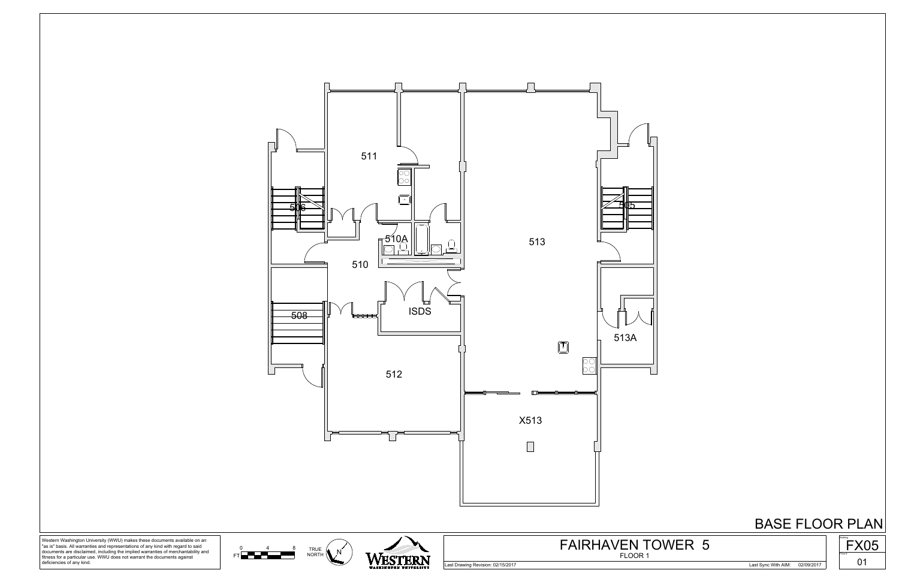



0 4 8 TRI

Western Washington University (WWU) makes these documents available on an "as is" basis. All warranties and representations of any kind with regard to said documents are disclaimed, including the implied warranties of merchantability and fitness for a particular use. WWU does not warrant the documents against deficiencies of any kind.



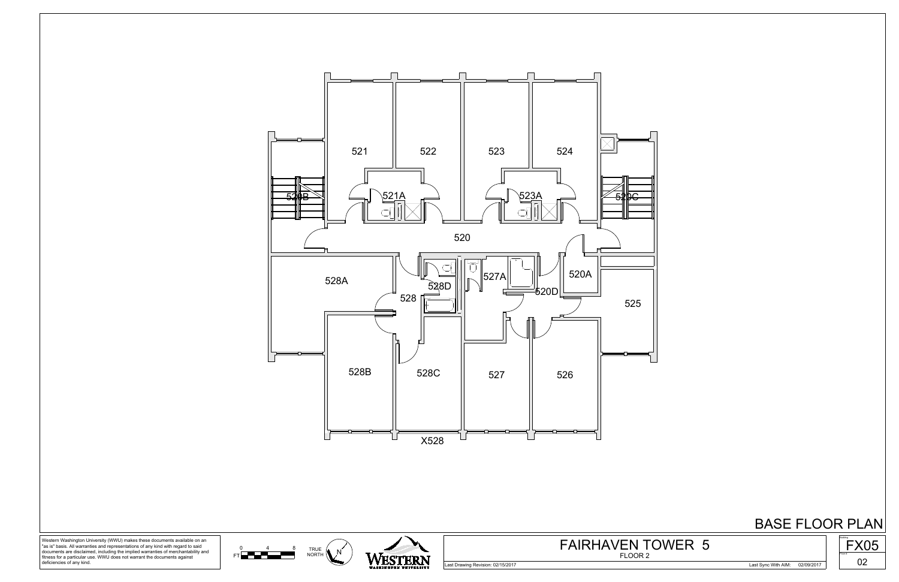





Western Washington University (WWU) makes these documents available on an "as is" basis. All warranties and representations of any kind with regard to said documents are disclaimed, including the implied warranties of merchantability and fitness for a particular use. WWU does not warrant the documents against deficiencies of any kind.



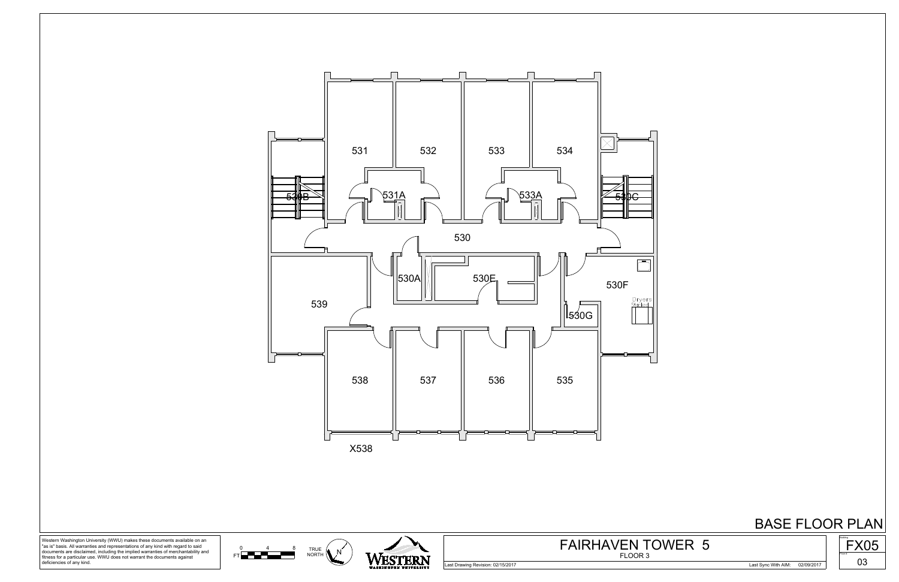





Western Washington University (WWU) makes these documents available on an "as is" basis. All warranties and representations of any kind with regard to said documents are disclaimed, including the implied warranties of merchantability and fitness for a particular use. WWU does not warrant the documents against deficiencies of any kind.